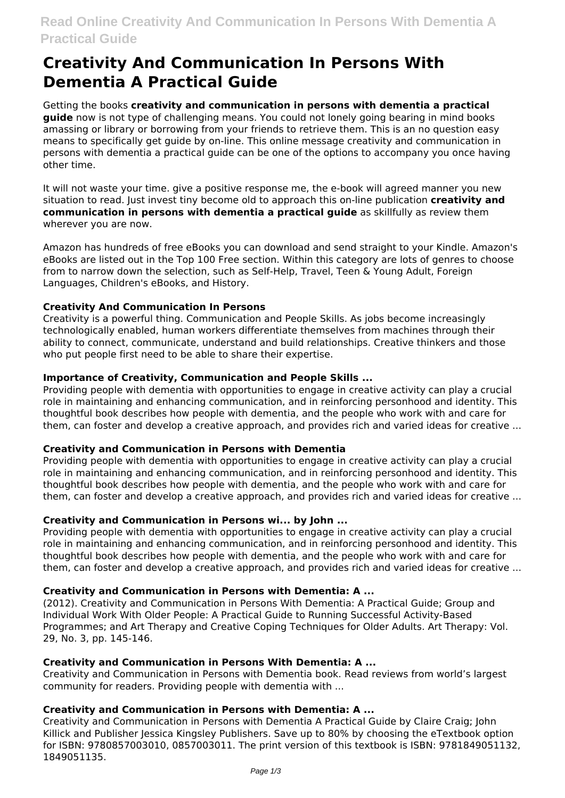# **Creativity And Communication In Persons With Dementia A Practical Guide**

Getting the books **creativity and communication in persons with dementia a practical guide** now is not type of challenging means. You could not lonely going bearing in mind books amassing or library or borrowing from your friends to retrieve them. This is an no question easy means to specifically get guide by on-line. This online message creativity and communication in persons with dementia a practical guide can be one of the options to accompany you once having other time.

It will not waste your time. give a positive response me, the e-book will agreed manner you new situation to read. Just invest tiny become old to approach this on-line publication **creativity and communication in persons with dementia a practical guide** as skillfully as review them wherever you are now.

Amazon has hundreds of free eBooks you can download and send straight to your Kindle. Amazon's eBooks are listed out in the Top 100 Free section. Within this category are lots of genres to choose from to narrow down the selection, such as Self-Help, Travel, Teen & Young Adult, Foreign Languages, Children's eBooks, and History.

## **Creativity And Communication In Persons**

Creativity is a powerful thing. Communication and People Skills. As jobs become increasingly technologically enabled, human workers differentiate themselves from machines through their ability to connect, communicate, understand and build relationships. Creative thinkers and those who put people first need to be able to share their expertise.

## **Importance of Creativity, Communication and People Skills ...**

Providing people with dementia with opportunities to engage in creative activity can play a crucial role in maintaining and enhancing communication, and in reinforcing personhood and identity. This thoughtful book describes how people with dementia, and the people who work with and care for them, can foster and develop a creative approach, and provides rich and varied ideas for creative ...

## **Creativity and Communication in Persons with Dementia**

Providing people with dementia with opportunities to engage in creative activity can play a crucial role in maintaining and enhancing communication, and in reinforcing personhood and identity. This thoughtful book describes how people with dementia, and the people who work with and care for them, can foster and develop a creative approach, and provides rich and varied ideas for creative ...

## **Creativity and Communication in Persons wi... by John ...**

Providing people with dementia with opportunities to engage in creative activity can play a crucial role in maintaining and enhancing communication, and in reinforcing personhood and identity. This thoughtful book describes how people with dementia, and the people who work with and care for them, can foster and develop a creative approach, and provides rich and varied ideas for creative ...

## **Creativity and Communication in Persons with Dementia: A ...**

(2012). Creativity and Communication in Persons With Dementia: A Practical Guide; Group and Individual Work With Older People: A Practical Guide to Running Successful Activity-Based Programmes; and Art Therapy and Creative Coping Techniques for Older Adults. Art Therapy: Vol. 29, No. 3, pp. 145-146.

# **Creativity and Communication in Persons With Dementia: A ...**

Creativity and Communication in Persons with Dementia book. Read reviews from world's largest community for readers. Providing people with dementia with ...

# **Creativity and Communication in Persons with Dementia: A ...**

Creativity and Communication in Persons with Dementia A Practical Guide by Claire Craig; John Killick and Publisher Jessica Kingsley Publishers. Save up to 80% by choosing the eTextbook option for ISBN: 9780857003010, 0857003011. The print version of this textbook is ISBN: 9781849051132, 1849051135.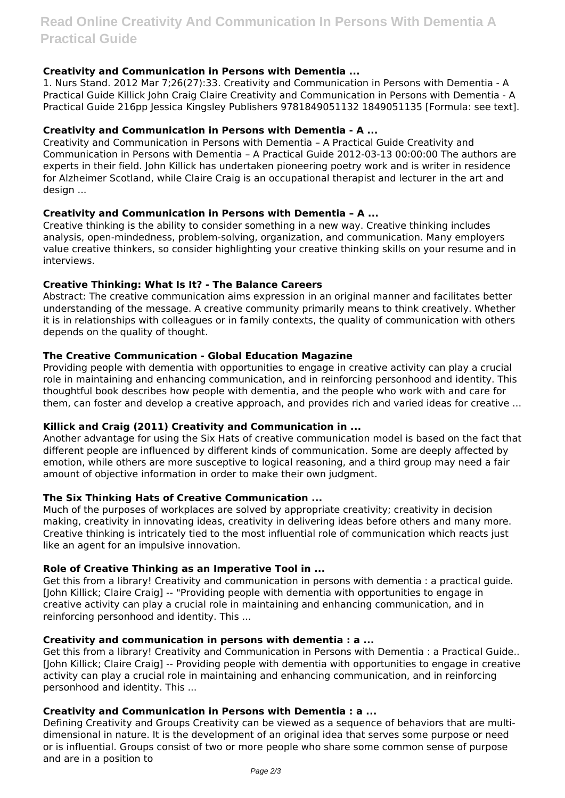## **Creativity and Communication in Persons with Dementia ...**

1. Nurs Stand. 2012 Mar 7;26(27):33. Creativity and Communication in Persons with Dementia - A Practical Guide Killick John Craig Claire Creativity and Communication in Persons with Dementia - A Practical Guide 216pp Jessica Kingsley Publishers 9781849051132 1849051135 [Formula: see text].

## **Creativity and Communication in Persons with Dementia - A ...**

Creativity and Communication in Persons with Dementia – A Practical Guide Creativity and Communication in Persons with Dementia – A Practical Guide 2012-03-13 00:00:00 The authors are experts in their field. John Killick has undertaken pioneering poetry work and is writer in residence for Alzheimer Scotland, while Claire Craig is an occupational therapist and lecturer in the art and design ...

## **Creativity and Communication in Persons with Dementia – A ...**

Creative thinking is the ability to consider something in a new way. Creative thinking includes analysis, open-mindedness, problem-solving, organization, and communication. Many employers value creative thinkers, so consider highlighting your creative thinking skills on your resume and in interviews.

## **Creative Thinking: What Is It? - The Balance Careers**

Abstract: The creative communication aims expression in an original manner and facilitates better understanding of the message. A creative community primarily means to think creatively. Whether it is in relationships with colleagues or in family contexts, the quality of communication with others depends on the quality of thought.

## **The Creative Communication - Global Education Magazine**

Providing people with dementia with opportunities to engage in creative activity can play a crucial role in maintaining and enhancing communication, and in reinforcing personhood and identity. This thoughtful book describes how people with dementia, and the people who work with and care for them, can foster and develop a creative approach, and provides rich and varied ideas for creative ...

## **Killick and Craig (2011) Creativity and Communication in ...**

Another advantage for using the Six Hats of creative communication model is based on the fact that different people are influenced by different kinds of communication. Some are deeply affected by emotion, while others are more susceptive to logical reasoning, and a third group may need a fair amount of objective information in order to make their own judgment.

## **The Six Thinking Hats of Creative Communication ...**

Much of the purposes of workplaces are solved by appropriate creativity; creativity in decision making, creativity in innovating ideas, creativity in delivering ideas before others and many more. Creative thinking is intricately tied to the most influential role of communication which reacts just like an agent for an impulsive innovation.

# **Role of Creative Thinking as an Imperative Tool in ...**

Get this from a library! Creativity and communication in persons with dementia : a practical guide. [John Killick; Claire Craig] -- "Providing people with dementia with opportunities to engage in creative activity can play a crucial role in maintaining and enhancing communication, and in reinforcing personhood and identity. This ...

## **Creativity and communication in persons with dementia : a ...**

Get this from a library! Creativity and Communication in Persons with Dementia : a Practical Guide.. [John Killick; Claire Craig] -- Providing people with dementia with opportunities to engage in creative activity can play a crucial role in maintaining and enhancing communication, and in reinforcing personhood and identity. This ...

## **Creativity and Communication in Persons with Dementia : a ...**

Defining Creativity and Groups Creativity can be viewed as a sequence of behaviors that are multidimensional in nature. It is the development of an original idea that serves some purpose or need or is influential. Groups consist of two or more people who share some common sense of purpose and are in a position to